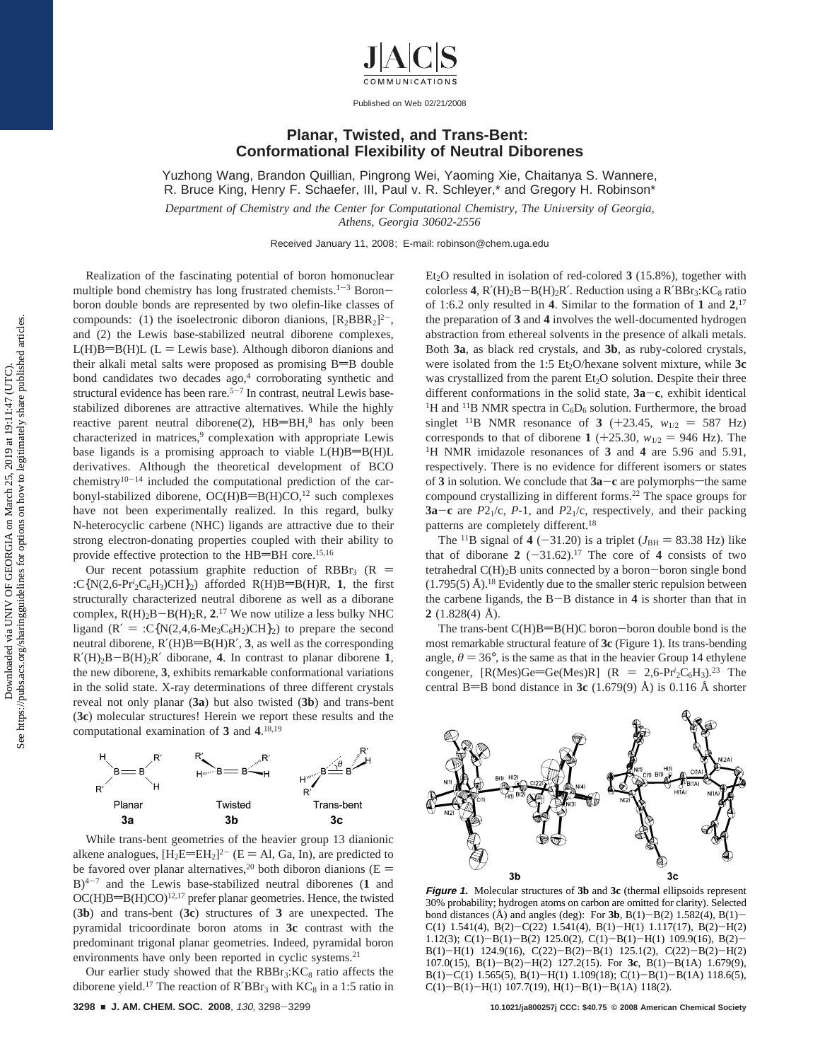

## **Planar, Twisted, and Trans-Bent: Conformational Flexibility of Neutral Diborenes**

Yuzhong Wang, Brandon Quillian, Pingrong Wei, Yaoming Xie, Chaitanya S. Wannere, R. Bruce King, Henry F. Schaefer, III, Paul v. R. Schleyer,\* and Gregory H. Robinson\*

*Department of Chemistry and the Center for Computational Chemistry, The University of Georgia, Athens, Georgia 30602-2556*

Received January 11, 2008; E-mail: robinson@chem.uga.edu

Realization of the fascinating potential of boron homonuclear multiple bond chemistry has long frustrated chemists.<sup>1-3</sup> Boronboron double bonds are represented by two olefin-like classes of compounds: (1) the isoelectronic diboron dianions,  $[R_2BBR_2]^2$ <sup>-</sup>, and (2) the Lewis base-stabilized neutral diborene complexes,  $L(H)B=B(H)L$  (L = Lewis base). Although diboron dianions and their alkali metal salts were proposed as promising  $B = B$  double bond candidates two decades ago,<sup>4</sup> corroborating synthetic and structural evidence has been rare.<sup> $5-7$ </sup> In contrast, neutral Lewis basestabilized diborenes are attractive alternatives. While the highly reactive parent neutral diborene(2), HB=BH,8 has only been characterized in matrices,<sup>9</sup> complexation with appropriate Lewis base ligands is a promising approach to viable  $L(H)B=B(H)L$ derivatives. Although the theoretical development of BCO chemistry $10^{-14}$  included the computational prediction of the carbonyl-stabilized diborene, OC(H)B=B(H)CO,<sup>12</sup> such complexes have not been experimentally realized. In this regard, bulky N-heterocyclic carbene (NHC) ligands are attractive due to their strong electron-donating properties coupled with their ability to provide effective protection to the  $HB=BH$  core.<sup>15,16</sup>

Our recent potassium graphite reduction of RBBr<sub>3</sub> (R = :C{N(2,6-Pr<sup>*i*</sup><sub>2</sub>C<sub>6</sub>H<sub>3</sub>)CH}<sub>2</sub>) afforded R(H)B=B(H)R, 1, the first structurally characterized neutral diborene as well as a diborane complex,  $R(H)_2B - B(H)_2R$ ,  $2^{17}$  We now utilize a less bulky NHC<br>ligand  $(R' = \cdot C M) \Delta A_{\text{max}} C H_{\text{max}} C H_{\text{max}}$  to prepare the second ligand  $(R' = :C\{N(2,4,6-Me<sub>3</sub>C<sub>6</sub>H<sub>2</sub>)CH\}<sub>2</sub>$  to prepare the second neutral diborene,  $R'(H)B=B(H)R'$ , **3**, as well as the corresponding  $R'(H)_2B-B(H)_2R'$  diborane, **4**. In contrast to planar diborene **1**, the new diborene, **3**, exhibits remarkable conformational variations in the solid state. X-ray determinations of three different crystals reveal not only planar (**3a**) but also twisted (**3b**) and trans-bent (**3c**) molecular structures! Herein we report these results and the computational examination of **3** and **4**. 18,19



While trans-bent geometries of the heavier group 13 dianionic alkene analogues,  $[H_2E=EH_2]^2$ <sup>-</sup> (E = Al, Ga, In), are predicted to be favored over planar alternatives,<sup>20</sup> both diboron dianions ( $E =$ B)4-<sup>7</sup> and the Lewis base-stabilized neutral diborenes (**1** and  $OC(H)B=B(H)CO$ <sup>12,17</sup> prefer planar geometries. Hence, the twisted (**3b**) and trans-bent (**3c**) structures of **3** are unexpected. The pyramidal tricoordinate boron atoms in **3c** contrast with the predominant trigonal planar geometries. Indeed, pyramidal boron environments have only been reported in cyclic systems.<sup>21</sup>

Our earlier study showed that the  $RBBr<sub>3</sub>:KC<sub>8</sub>$  ratio affects the diborene yield.<sup>17</sup> The reaction of  $R'BBr_3$  with  $KC_8$  in a 1:5 ratio in Et<sub>2</sub>O resulted in isolation of red-colored 3 (15.8%), together with colorless **4**,  $R'(H)_2B - B(H)_2R'$ . Reduction using a  $R'BBr_3$ :  $KC_8$  ratio of 1:6.2 only resulted in **4**. Similar to the formation of **1** and **2**, 17 the preparation of **3** and **4** involves the well-documented hydrogen abstraction from ethereal solvents in the presence of alkali metals. Both **3a**, as black red crystals, and **3b**, as ruby-colored crystals, were isolated from the 1:5 Et<sub>2</sub>O/hexane solvent mixture, while 3c was crystallized from the parent  $Et<sub>2</sub>O$  solution. Despite their three different conformations in the solid state,  $3a - c$ , exhibit identical <sup>1</sup>H and <sup>11</sup>B NMR spectra in C<sub>6</sub>D<sub>6</sub> solution. Furthermore, the broad singlet <sup>11</sup>B NMR resonance of **3** (+23.45,  $w_{1/2} = 587$  Hz) corresponds to that of diborene **1** (+25.30,  $w_{1/2} = 946$  Hz). The <sup>1</sup>H NMR imidazole resonances of **3** and **4** are 5.96 and 5.91, respectively. There is no evidence for different isomers or states of **3** in solution. We conclude that  $3a - c$  are polymorphs—the same compound crystallizing in different forms.<sup>22</sup> The space groups for **3a**-**<sup>c</sup>** are *<sup>P</sup>*21/c, *<sup>P</sup>*-1, and *<sup>P</sup>*21/c, respectively, and their packing patterns are completely different.18

The <sup>11</sup>B signal of **4** (-31.20) is a triplet ( $J_{BH}$  = 83.38 Hz) like that of diborane  $2(-31.62).^{17}$  The core of 4 consists of two tetrahedral  $C(H)_2B$  units connected by a boron-boron single bond  $(1.795(5)$  Å).<sup>18</sup> Evidently due to the smaller steric repulsion between the carbene ligands, the B-B distance in **<sup>4</sup>** is shorter than that in **2** (1.828(4) Å).

The trans-bent  $C(H)B=B(H)C$  boron-boron double bond is the most remarkable structural feature of **3c** (Figure 1). Its trans-bending angle,  $\theta = 36^{\circ}$ , is the same as that in the heavier Group 14 ethylene congener,  $[R(Mes)Ge=Ge(Mes)R]$   $(R = 2,6-Pr<sup>i</sup>2C<sub>6</sub>H<sub>3</sub>)<sup>23</sup>$  The central  $R = R$  bond distance in **3c** (1.679(9)  $\hat{\lambda}$ ) is 0.116  $\hat{\lambda}$  shorter central B=B bond distance in  $3c$  (1.679(9) Å) is 0.116 Å shorter



**Figure 1.** Molecular structures of **3b** and **3c** (thermal ellipsoids represent 30% probability; hydrogen atoms on carbon are omitted for clarity). Selected bond distances ( $\AA$ ) and angles (deg): For **3b**, B(1)–B(2) 1.582(4), B(1)– C(1) 1.541(4), B(2)-C(22) 1.541(4), B(1)-H(1) 1.117(17), B(2)-H(2) 1.12(3); C(1)-B(1)-B(2) 125.0(2), C(1)-B(1)-H(1) 109.9(16), B(2)- B(1)-H(1) 124.9(16), C(22)-B(2)-B(1) 125.1(2), C(22)-B(2)-H(2) 107.0(15), B(1)-B(2)-H(2) 127.2(15). For **3c**, B(1)-B(1A) 1.679(9), B(1)-C(1) 1.565(5), B(1)-H(1) 1.109(18); C(1)-B(1)-B(1A) 118.6(5), C(1)-B(1)-H(1) 107.7(19), H(1)-B(1)-B(1A) 118(2).